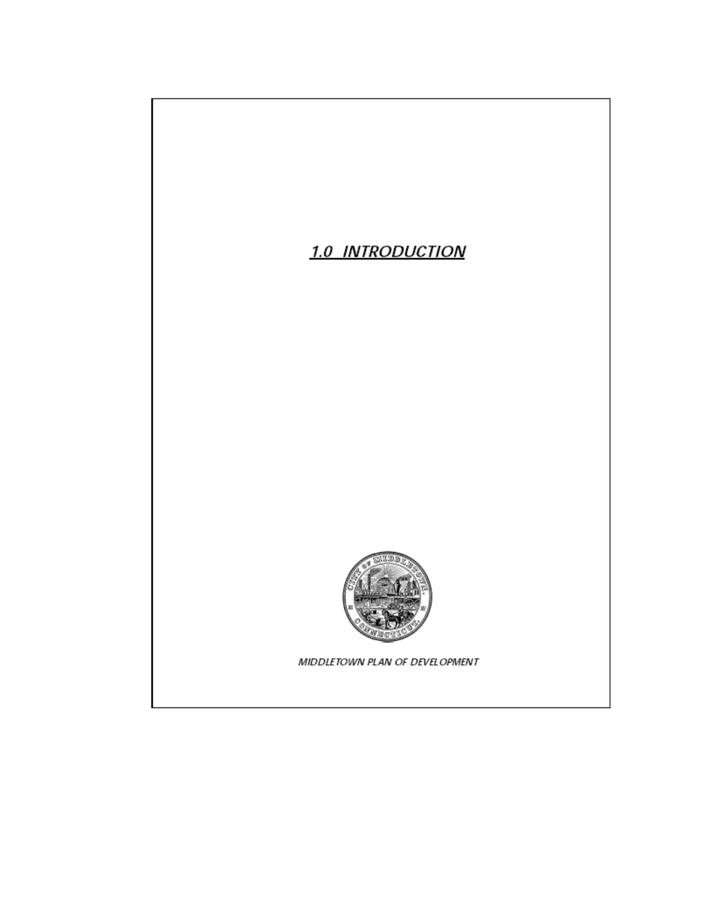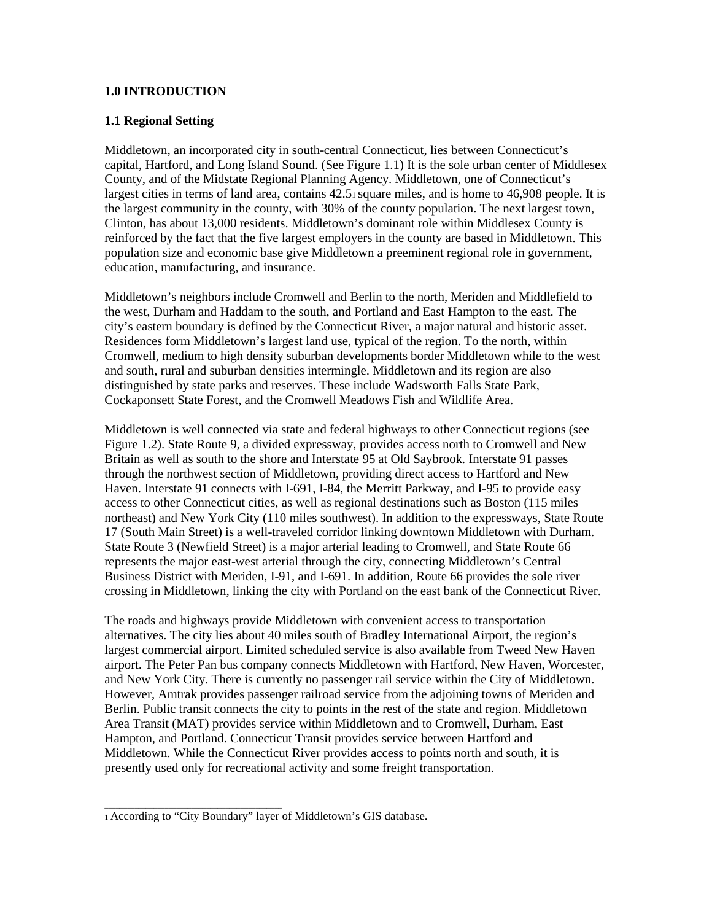## **1.0 INTRODUCTION**

## **1.1 Regional Setting**

Middletown, an incorporated city in south-central Connecticut, lies between Connecticut's capital, Hartford, and Long Island Sound. (See Figure 1.1) It is the sole urban center of Middlesex County, and of the Midstate Regional Planning Agency. Middletown, one of Connecticut's largest cities in terms of land area, contains 42.51 square miles, and is home to 46,908 people. It is the largest community in the county, with 30% of the county population. The next largest town, Clinton, has about 13,000 residents. Middletown's dominant role within Middlesex County is reinforced by the fact that the five largest employers in the county are based in Middletown. This population size and economic base give Middletown a preeminent regional role in government, education, manufacturing, and insurance.

Middletown's neighbors include Cromwell and Berlin to the north, Meriden and Middlefield to the west, Durham and Haddam to the south, and Portland and East Hampton to the east. The city's eastern boundary is defined by the Connecticut River, a major natural and historic asset. Residences form Middletown's largest land use, typical of the region. To the north, within Cromwell, medium to high density suburban developments border Middletown while to the west and south, rural and suburban densities intermingle. Middletown and its region are also distinguished by state parks and reserves. These include Wadsworth Falls State Park, Cockaponsett State Forest, and the Cromwell Meadows Fish and Wildlife Area.

Middletown is well connected via state and federal highways to other Connecticut regions (see Figure 1.2). State Route 9, a divided expressway, provides access north to Cromwell and New Britain as well as south to the shore and Interstate 95 at Old Saybrook. Interstate 91 passes through the northwest section of Middletown, providing direct access to Hartford and New Haven. Interstate 91 connects with I-691, I-84, the Merritt Parkway, and I-95 to provide easy access to other Connecticut cities, as well as regional destinations such as Boston (115 miles northeast) and New York City (110 miles southwest). In addition to the expressways, State Route 17 (South Main Street) is a well-traveled corridor linking downtown Middletown with Durham. State Route 3 (Newfield Street) is a major arterial leading to Cromwell, and State Route 66 represents the major east-west arterial through the city, connecting Middletown's Central Business District with Meriden, I-91, and I-691. In addition, Route 66 provides the sole river crossing in Middletown, linking the city with Portland on the east bank of the Connecticut River.

The roads and highways provide Middletown with convenient access to transportation alternatives. The city lies about 40 miles south of Bradley International Airport, the region's largest commercial airport. Limited scheduled service is also available from Tweed New Haven airport. The Peter Pan bus company connects Middletown with Hartford, New Haven, Worcester, and New York City. There is currently no passenger rail service within the City of Middletown. However, Amtrak provides passenger railroad service from the adjoining towns of Meriden and Berlin. Public transit connects the city to points in the rest of the state and region. Middletown Area Transit (MAT) provides service within Middletown and to Cromwell, Durham, East Hampton, and Portland. Connecticut Transit provides service between Hartford and Middletown. While the Connecticut River provides access to points north and south, it is presently used only for recreational activity and some freight transportation.

 $\overline{\phantom{a}}$  , and the contract of the contract of the contract of the contract of the contract of the contract of the contract of the contract of the contract of the contract of the contract of the contract of the contrac

<sup>1</sup> According to "City Boundary" layer of Middletown's GIS database.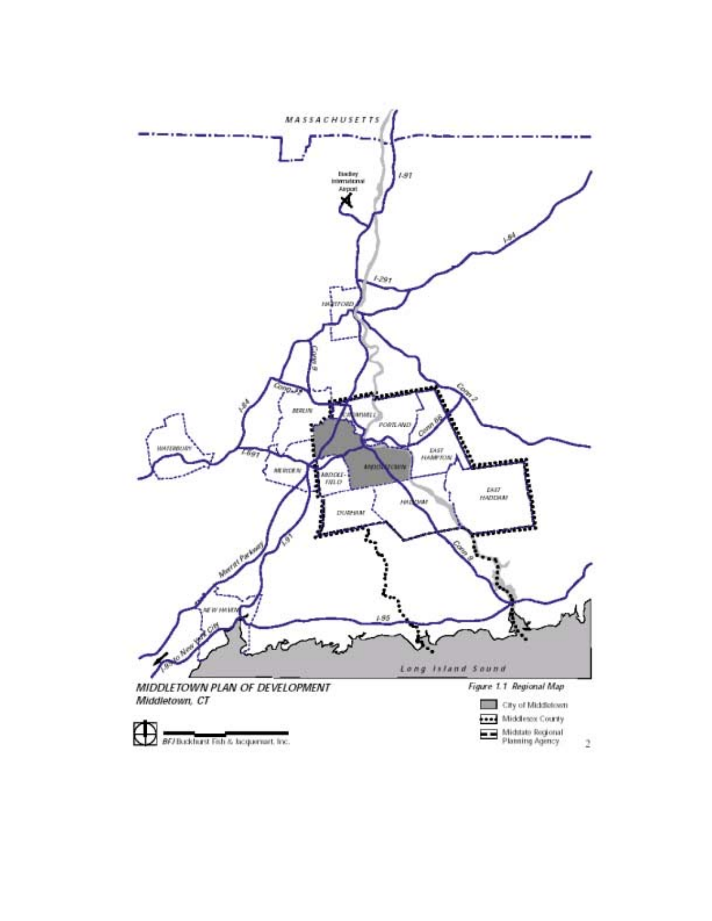

 $\overline{2}$ 

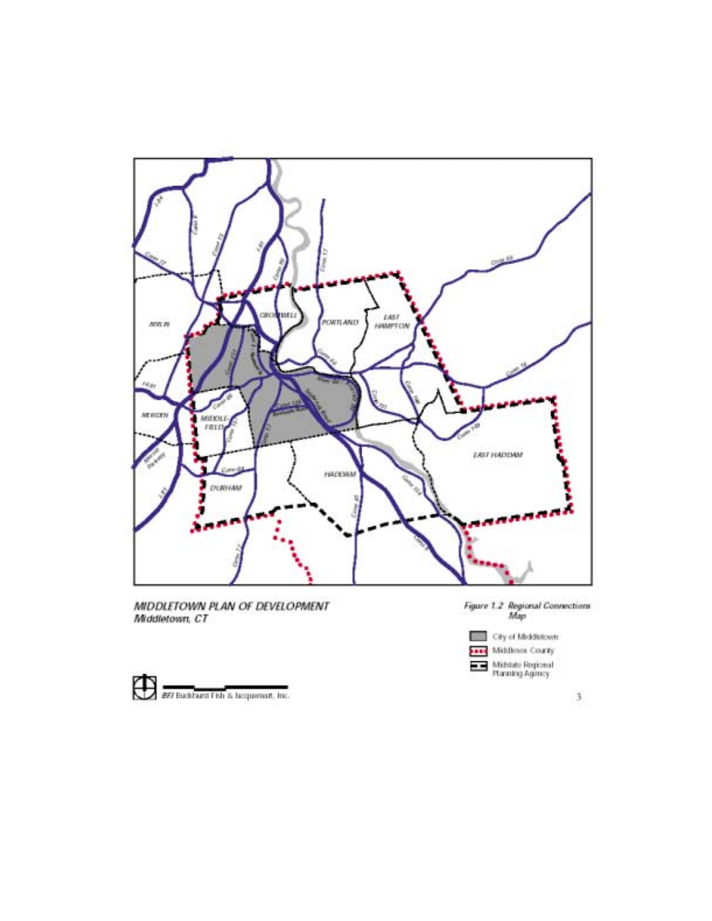

MIDDLETOWN PLAN OF DEVELOPMENT<br>Middletown, CT







 $\mathbf{3}$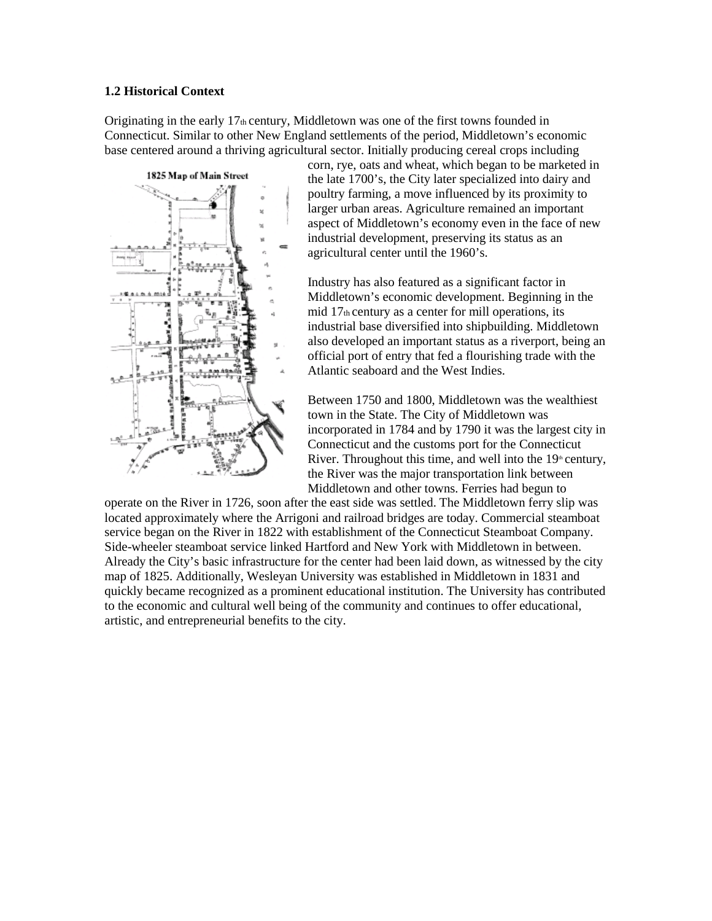## **1.2 Historical Context**

Originating in the early  $17<sub>th</sub>$  century, Middletown was one of the first towns founded in Connecticut. Similar to other New England settlements of the period, Middletown's economic base centered around a thriving agricultural sector. Initially producing cereal crops including



corn, rye, oats and wheat, which began to be marketed in the late 1700's, the City later specialized into dairy and poultry farming, a move influenced by its proximity to larger urban areas. Agriculture remained an important aspect of Middletown's economy even in the face of new industrial development, preserving its status as an agricultural center until the 1960's.

Industry has also featured as a significant factor in Middletown's economic development. Beginning in the mid 17th century as a center for mill operations, its industrial base diversified into shipbuilding. Middletown also developed an important status as a riverport, being an official port of entry that fed a flourishing trade with the Atlantic seaboard and the West Indies.

Between 1750 and 1800, Middletown was the wealthiest town in the State. The City of Middletown was incorporated in 1784 and by 1790 it was the largest city in Connecticut and the customs port for the Connecticut River. Throughout this time, and well into the  $19<sup>th</sup>$  century, the River was the major transportation link between Middletown and other towns. Ferries had begun to

operate on the River in 1726, soon after the east side was settled. The Middletown ferry slip was located approximately where the Arrigoni and railroad bridges are today. Commercial steamboat service began on the River in 1822 with establishment of the Connecticut Steamboat Company. Side-wheeler steamboat service linked Hartford and New York with Middletown in between. Already the City's basic infrastructure for the center had been laid down, as witnessed by the city map of 1825. Additionally, Wesleyan University was established in Middletown in 1831 and quickly became recognized as a prominent educational institution. The University has contributed to the economic and cultural well being of the community and continues to offer educational, artistic, and entrepreneurial benefits to the city.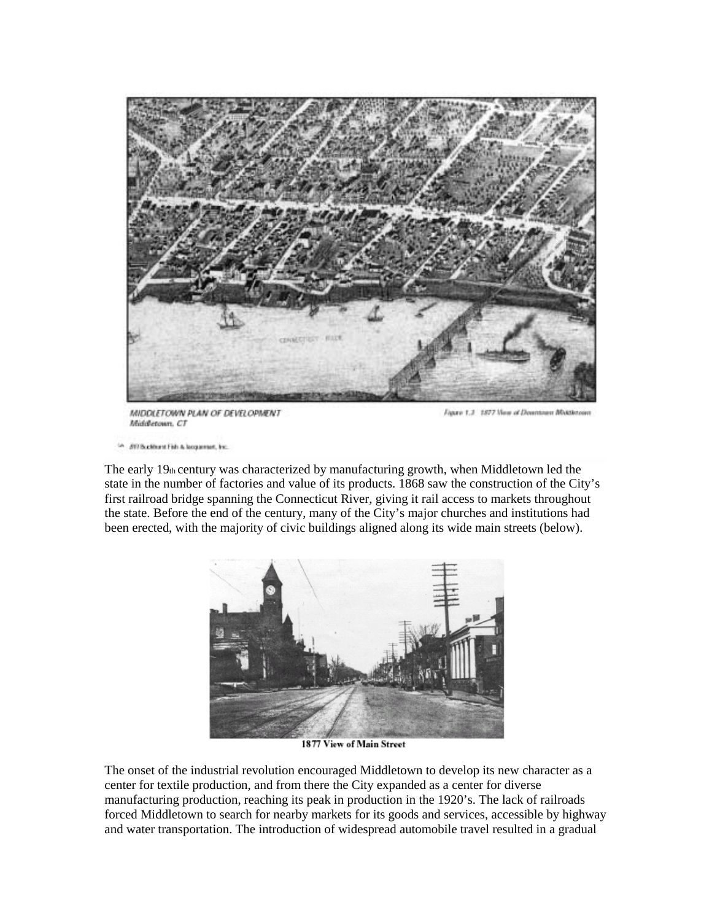

MIDDLETOWN PLAN OF DEVELOPMENT Middletown, CT

Figure 1.3 1877 New of Downtown Middletown

**BY/Suddent Fish & locations, Inc.** 

The early  $19<sub>th</sub>$  century was characterized by manufacturing growth, when Middletown led the state in the number of factories and value of its products. 1868 saw the construction of the City's first railroad bridge spanning the Connecticut River, giving it rail access to markets throughout the state. Before the end of the century, many of the City's major churches and institutions had been erected, with the majority of civic buildings aligned along its wide main streets (below).



1877 View of Main Street

The onset of the industrial revolution encouraged Middletown to develop its new character as a center for textile production, and from there the City expanded as a center for diverse manufacturing production, reaching its peak in production in the 1920's. The lack of railroads forced Middletown to search for nearby markets for its goods and services, accessible by highway and water transportation. The introduction of widespread automobile travel resulted in a gradual